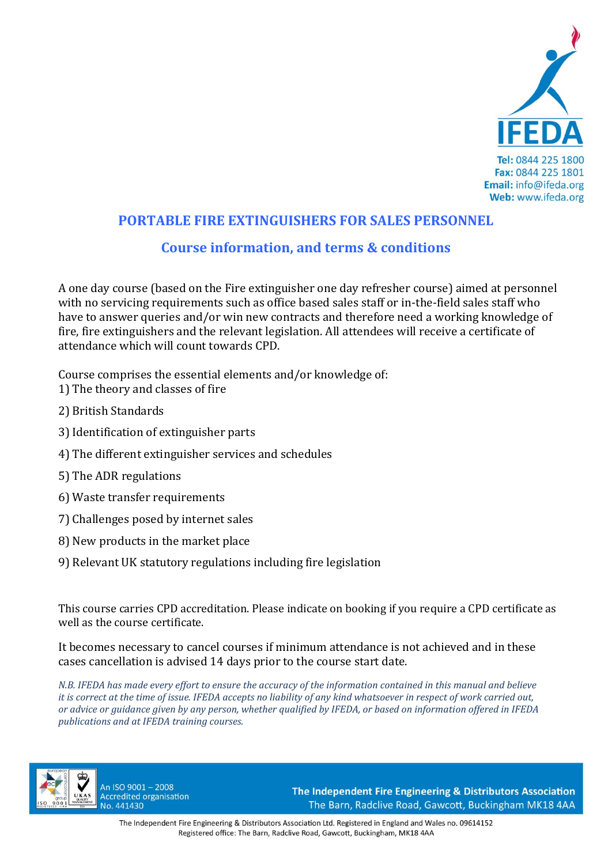

# **PORTABLE FIRE EXTINGUISHERS FOR SALES PERSONNEL**

## **Course information, and terms & conditions**

A one day course (based on the Fire extinguisher one day refresher course) aimed at personnel with no servicing requirements such as office based sales staff or in-the-field sales staff who have to answer queries and/or win new contracts and therefore need a working knowledge of fire, fire extinguishers and the relevant legislation. All attendees will receive a certificate of attendance which will count towards CPD.

Course comprises the essential elements and/or knowledge of:

- 1) The theory and classes of fire
- 2) British Standards
- 3) Identification of extinguisher parts
- 4) The different extinguisher services and schedules
- 5) The ADR regulations
- 6) Waste transfer requirements
- 7) Challenges posed by internet sales
- 8) New products in the market place
- 9) Relevant UK statutory regulations including fire legislation

This course carries CPD accreditation. Please indicate on booking if you require a CPD certificate as well as the course certificate.

It becomes necessary to cancel courses if minimum attendance is not achieved and in these cases cancellation is advised 14 days prior to the course start date.

*N.B. IFEDA has made every effort to ensure the accuracy of the information contained in this manual and believe it is correct at the time of issue. IFEDA accepts no liability of any kind whatsoever in respect of work carried out, or advice or guidance given by any person, whether qualified by IFEDA, or based on information offered in IFEDA publications and at IFEDA training courses.* 



An ISO 9001 - 2008 **Accredited organisation** No. 441430

The Independent Fire Engineering & Distributors Association The Barn, Radclive Road, Gawcott, Buckingham MK18 4AA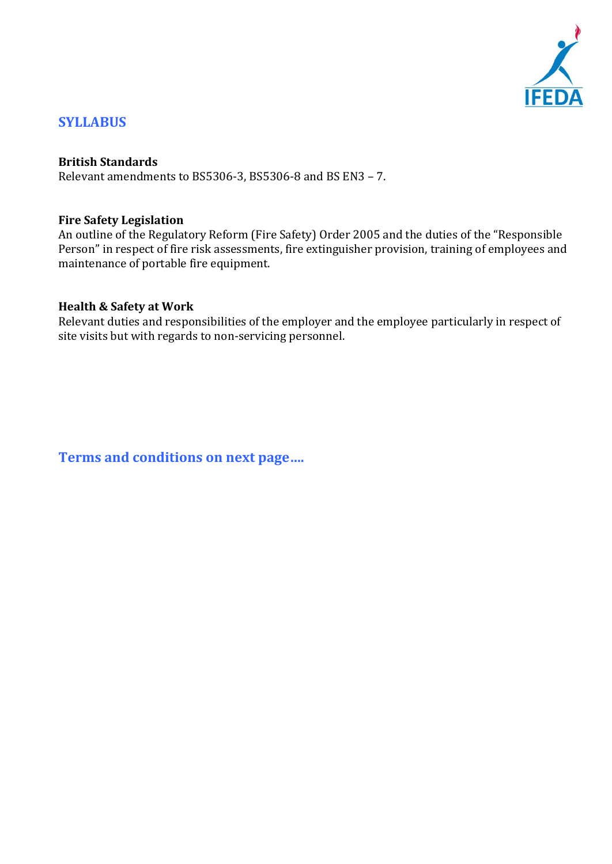

## **SYLLABUS**

#### **British Standards**

Relevant amendments to BS5306‐3, BS5306‐8 and BS EN3 – 7.

#### **Fire Safety Legislation**

An outline of the Regulatory Reform (Fire Safety) Order 2005 and the duties of the "Responsible Person" in respect of fire risk assessments, fire extinguisher provision, training of employees and maintenance of portable fire equipment.

#### **Health & Safety at Work**

Relevant duties and responsibilities of the employer and the employee particularly in respect of site visits but with regards to non‐servicing personnel.

**Terms and conditions on next page….**